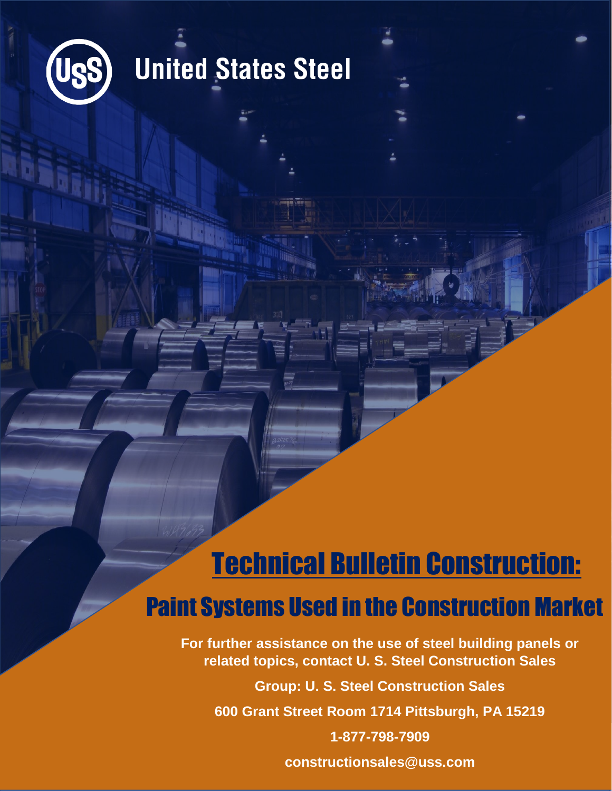

# **United States Steel**

## Technical Bulletin Construction: Paint Systems Used in the Construction Market

**For further assistance on the use of steel building panels or related topics, contact U. S. Steel Construction Sales**

**Group: U. S. Steel Construction Sales**

**600 Grant Street Room 1714 Pittsburgh, PA 15219**

**1-877-798-7909**

**constructionsales@uss.com**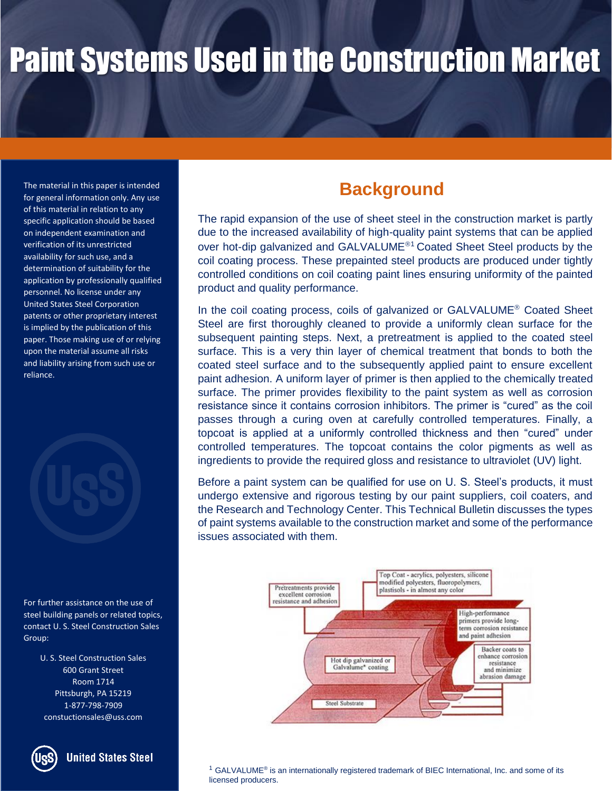The material in this paper is intended for general information only. Any use of this material in relation to any specific application should be based on independent examination and verification of its unrestricted availability for such use, and a determination of suitability for the application by professionally qualified personnel. No license under any United States Steel Corporation patents or other proprietary interest is implied by the publication of this paper. Those making use of or relying upon the material assume all risks and liability arising from such use or reliance.



For further assistance on the use of steel building panels or related topics, contact U. S. Steel Construction Sales Group:

> U. S. Steel Construction Sales 600 Grant Street Room 1714 Pittsburgh, PA 15219 1-877-798-7909 constuctionsales@uss.com



#### **United States Steel**

### **Background**

The rapid expansion of the use of sheet steel in the construction market is partly due to the increased availability of high-quality paint systems that can be applied over hot-dip galvanized and GALVALUME<sup>®1</sup> Coated Sheet Steel products by the coil coating process. These prepainted steel products are produced under tightly controlled conditions on coil coating paint lines ensuring uniformity of the painted product and quality performance.

In the coil coating process, coils of galvanized or GALVALUME<sup>®</sup> Coated Sheet Steel are first thoroughly cleaned to provide a uniformly clean surface for the subsequent painting steps. Next, a pretreatment is applied to the coated steel surface. This is a very thin layer of chemical treatment that bonds to both the coated steel surface and to the subsequently applied paint to ensure excellent paint adhesion. A uniform layer of primer is then applied to the chemically treated surface. The primer provides flexibility to the paint system as well as corrosion resistance since it contains corrosion inhibitors. The primer is "cured" as the coil passes through a curing oven at carefully controlled temperatures. Finally, a topcoat is applied at a uniformly controlled thickness and then "cured" under controlled temperatures. The topcoat contains the color pigments as well as ingredients to provide the required gloss and resistance to ultraviolet (UV) light.

Before a paint system can be qualified for use on U. S. Steel's products, it must undergo extensive and rigorous testing by our paint suppliers, coil coaters, and the Research and Technology Center. This Technical Bulletin discusses the types of paint systems available to the construction market and some of the performance issues associated with them.



 $1$  GALVALUME<sup>®</sup> is an internationally registered trademark of BIEC International, Inc. and some of its licensed producers.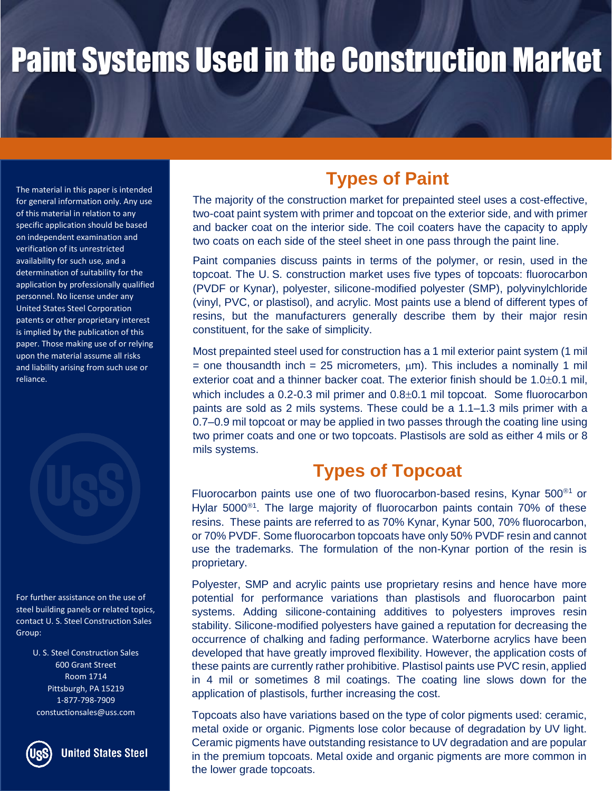The material in this paper is intended for general information only. Any use of this material in relation to any specific application should be based on independent examination and verification of its unrestricted availability for such use, and a determination of suitability for the application by professionally qualified personnel. No license under any United States Steel Corporation patents or other proprietary interest is implied by the publication of this paper. Those making use of or relying upon the material assume all risks and liability arising from such use or reliance.

For further assistance on the use of steel building panels or related topics, contact U. S. Steel Construction Sales Group:

> U. S. Steel Construction Sales 600 Grant Street Room 1714 Pittsburgh, PA 15219 1-877-798-7909 constuctionsales@uss.com



**United States Steel** 

### **Types of Paint**

The majority of the construction market for prepainted steel uses a cost-effective, two-coat paint system with primer and topcoat on the exterior side, and with primer and backer coat on the interior side. The coil coaters have the capacity to apply two coats on each side of the steel sheet in one pass through the paint line.

Paint companies discuss paints in terms of the polymer, or resin, used in the topcoat. The U. S. construction market uses five types of topcoats: fluorocarbon (PVDF or Kynar), polyester, silicone-modified polyester (SMP), polyvinylchloride (vinyl, PVC, or plastisol), and acrylic. Most paints use a blend of different types of resins, but the manufacturers generally describe them by their major resin constituent, for the sake of simplicity.

Most prepainted steel used for construction has a 1 mil exterior paint system (1 mil = one thousandth inch = 25 micrometers,  $\mu$ m). This includes a nominally 1 mil exterior coat and a thinner backer coat. The exterior finish should be  $1.0\pm0.1$  mil, which includes a  $0.2$ -0.3 mil primer and  $0.8\pm0.1$  mil topcoat. Some fluorocarbon paints are sold as 2 mils systems. These could be a 1.1–1.3 mils primer with a 0.7–0.9 mil topcoat or may be applied in two passes through the coating line using two primer coats and one or two topcoats. Plastisols are sold as either 4 mils or 8 mils systems.

### **Types of Topcoat**

Fluorocarbon paints use one of two fluorocarbon-based resins, Kynar  $500^{\circ}$  or Hylar 5000 $^{\circ}$ <sup>1</sup>. The large majority of fluorocarbon paints contain 70% of these resins. These paints are referred to as 70% Kynar, Kynar 500, 70% fluorocarbon, or 70% PVDF. Some fluorocarbon topcoats have only 50% PVDF resin and cannot use the trademarks. The formulation of the non-Kynar portion of the resin is proprietary.

Polyester, SMP and acrylic paints use proprietary resins and hence have more potential for performance variations than plastisols and fluorocarbon paint systems. Adding silicone-containing additives to polyesters improves resin stability. Silicone-modified polyesters have gained a reputation for decreasing the occurrence of chalking and fading performance. Waterborne acrylics have been developed that have greatly improved flexibility. However, the application costs of these paints are currently rather prohibitive. Plastisol paints use PVC resin, applied in 4 mil or sometimes 8 mil coatings. The coating line slows down for the application of plastisols, further increasing the cost.

Topcoats also have variations based on the type of color pigments used: ceramic, metal oxide or organic. Pigments lose color because of degradation by UV light. Ceramic pigments have outstanding resistance to UV degradation and are popular in the premium topcoats. Metal oxide and organic pigments are more common in the lower grade topcoats.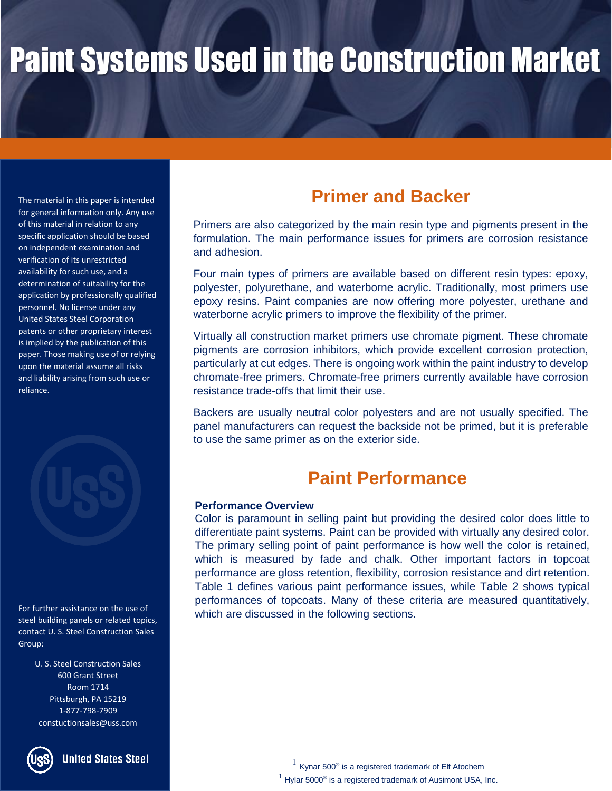The material in this paper is intended for general information only. Any use of this material in relation to any specific application should be based on independent examination and verification of its unrestricted availability for such use, and a determination of suitability for the application by professionally qualified personnel. No license under any United States Steel Corporation patents or other proprietary interest is implied by the publication of this paper. Those making use of or relying upon the material assume all risks and liability arising from such use or reliance.



For further assistance on the use of steel building panels or related topics, contact U. S. Steel Construction Sales Group:

> U. S. Steel Construction Sales 600 Grant Street Room 1714 Pittsburgh, PA 15219 1-877-798-7909 constuctionsales@uss.com



**United States Steel** 

### **Primer and Backer**

Primers are also categorized by the main resin type and pigments present in the formulation. The main performance issues for primers are corrosion resistance and adhesion.

Four main types of primers are available based on different resin types: epoxy, polyester, polyurethane, and waterborne acrylic. Traditionally, most primers use epoxy resins. Paint companies are now offering more polyester, urethane and waterborne acrylic primers to improve the flexibility of the primer.

Virtually all construction market primers use chromate pigment. These chromate pigments are corrosion inhibitors, which provide excellent corrosion protection, particularly at cut edges. There is ongoing work within the paint industry to develop chromate-free primers. Chromate-free primers currently available have corrosion resistance trade-offs that limit their use.

Backers are usually neutral color polyesters and are not usually specified. The panel manufacturers can request the backside not be primed, but it is preferable to use the same primer as on the exterior side.

### **Paint Performance**

#### **Performance Overview**

Color is paramount in selling paint but providing the desired color does little to differentiate paint systems. Paint can be provided with virtually any desired color. The primary selling point of paint performance is how well the color is retained, which is measured by fade and chalk. Other important factors in topcoat performance are gloss retention, flexibility, corrosion resistance and dirt retention. Table 1 defines various paint performance issues, while Table 2 shows typical performances of topcoats. Many of these criteria are measured quantitatively, which are discussed in the following sections.

> $1$  Kynar 500<sup>®</sup> is a registered trademark of Elf Atochem  $1$  Hylar 5000<sup>®</sup> is a registered trademark of Ausimont USA, Inc.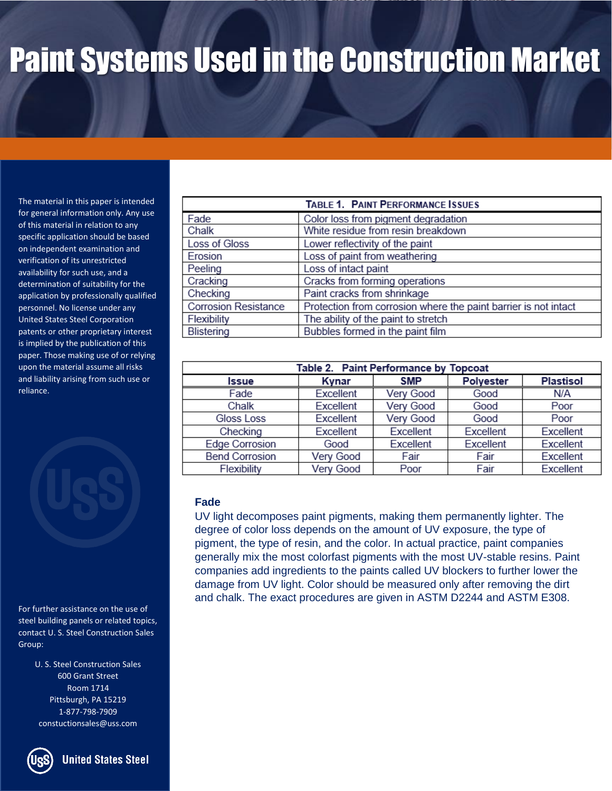The material in this paper is intended for general information only. Any use of this material in relation to any specific application should be based on independent examination and verification of its unrestricted availability for such use, and a determination of suitability for the application by professionally qualified personnel. No license under any United States Steel Corporation patents or other proprietary interest is implied by the publication of this paper. Those making use of or relying upon the material assume all risks and liability arising from such use or reliance.

For further assistance on the use of steel building panels or related topics, contact U. S. Steel Construction Sales Group:

> U. S. Steel Construction Sales 600 Grant Street Room 1714 Pittsburgh, PA 15219 1-877-798-7909 constuctionsales@uss.com

| TABLE 1. PAINT PERFORMANCE ISSUES                               |  |  |  |  |  |
|-----------------------------------------------------------------|--|--|--|--|--|
| Color loss from pigment degradation                             |  |  |  |  |  |
| White residue from resin breakdown                              |  |  |  |  |  |
| Lower reflectivity of the paint                                 |  |  |  |  |  |
| Loss of paint from weathering                                   |  |  |  |  |  |
| Loss of intact paint                                            |  |  |  |  |  |
| Cracks from forming operations                                  |  |  |  |  |  |
| Paint cracks from shrinkage                                     |  |  |  |  |  |
| Protection from corrosion where the paint barrier is not intact |  |  |  |  |  |
| The ability of the paint to stretch                             |  |  |  |  |  |
| Bubbles formed in the paint film                                |  |  |  |  |  |
|                                                                 |  |  |  |  |  |

| Table 2. Paint Performance by Topcoat |           |            |           |                  |
|---------------------------------------|-----------|------------|-----------|------------------|
| <b>Issue</b>                          | Kynar     | <b>SMP</b> | Polyester | <b>Plastisol</b> |
| Fade                                  | Excellent | Very Good  | Good      | N/A              |
| Chalk                                 | Excellent | Very Good  | Good      | Poor             |
| Gloss Loss                            | Excellent | Very Good  | Good      | Poor             |
| Checking                              | Excellent | Excellent  | Excellent | Excellent        |
| <b>Edge Corrosion</b>                 | Good      | Excellent  | Excellent | Excellent        |
| <b>Bend Corrosion</b>                 | Very Good | Fair       | Fair      | Excellent        |
| Flexibility                           | Very Good | Poor       | Fair      | Excellent        |

#### **Fade**

UV light decomposes paint pigments, making them permanently lighter. The degree of color loss depends on the amount of UV exposure, the type of pigment, the type of resin, and the color. In actual practice, paint companies generally mix the most colorfast pigments with the most UV-stable resins. Paint companies add ingredients to the paints called UV blockers to further lower the damage from UV light. Color should be measured only after removing the dirt and chalk. The exact procedures are given in ASTM D2244 and ASTM E308.



**United States Steel**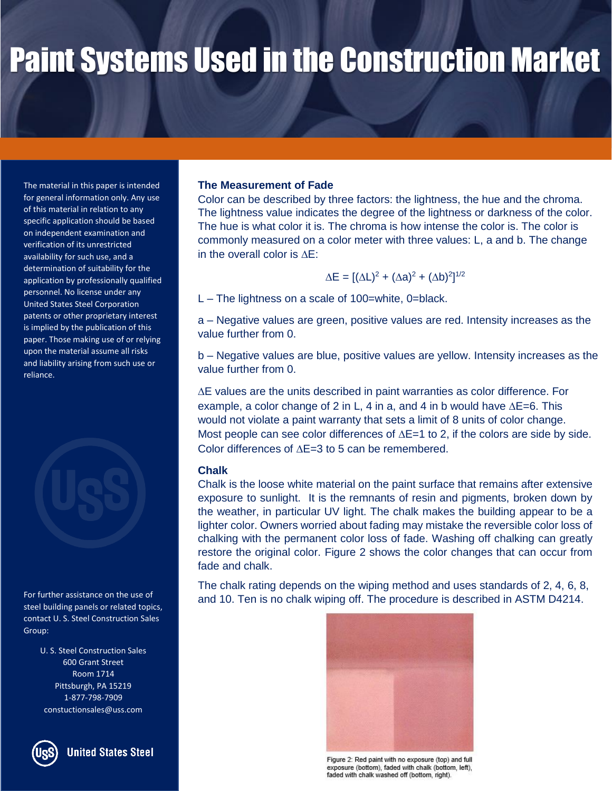The material in this paper is intended for general information only. Any use of this material in relation to any specific application should be based on independent examination and verification of its unrestricted availability for such use, and a determination of suitability for the application by professionally qualified personnel. No license under any United States Steel Corporation patents or other proprietary interest is implied by the publication of this paper. Those making use of or relying upon the material assume all risks and liability arising from such use or reliance.



For further assistance on the use of steel building panels or related topics, contact U. S. Steel Construction Sales Group:

> U. S. Steel Construction Sales 600 Grant Street Room 1714 Pittsburgh, PA 15219 1-877-798-7909 constuctionsales@uss.com



#### **The Measurement of Fade**

Color can be described by three factors: the lightness, the hue and the chroma. The lightness value indicates the degree of the lightness or darkness of the color. The hue is what color it is. The chroma is how intense the color is. The color is commonly measured on a color meter with three values: L, a and b. The change in the overall color is  $AE$ :

$$
\Delta E = [(\Delta L)^2 + (\Delta a)^2 + (\Delta b)^2]^{1/2}
$$

L – The lightness on a scale of 100=white, 0=black.

a – Negative values are green, positive values are red. Intensity increases as the value further from 0.

b – Negative values are blue, positive values are yellow. Intensity increases as the value further from 0.

 $\Delta$ E values are the units described in paint warranties as color difference. For example, a color change of 2 in L, 4 in a, and 4 in b would have  $\Delta E=6$ . This would not violate a paint warranty that sets a limit of 8 units of color change. Most people can see color differences of  $\Delta E=1$  to 2, if the colors are side by side. Color differences of  $\Delta E=3$  to 5 can be remembered.

#### **Chalk**

Chalk is the loose white material on the paint surface that remains after extensive exposure to sunlight. It is the remnants of resin and pigments, broken down by the weather, in particular UV light. The chalk makes the building appear to be a lighter color. Owners worried about fading may mistake the reversible color loss of chalking with the permanent color loss of fade. Washing off chalking can greatly restore the original color. Figure 2 shows the color changes that can occur from fade and chalk.

The chalk rating depends on the wiping method and uses standards of 2, 4, 6, 8, and 10. Ten is no chalk wiping off. The procedure is described in ASTM D4214.



Figure 2: Red paint with no exposure (top) and full exposure (bottom), faded with chalk (bottom, left), faded with chalk washed off (bottom, right).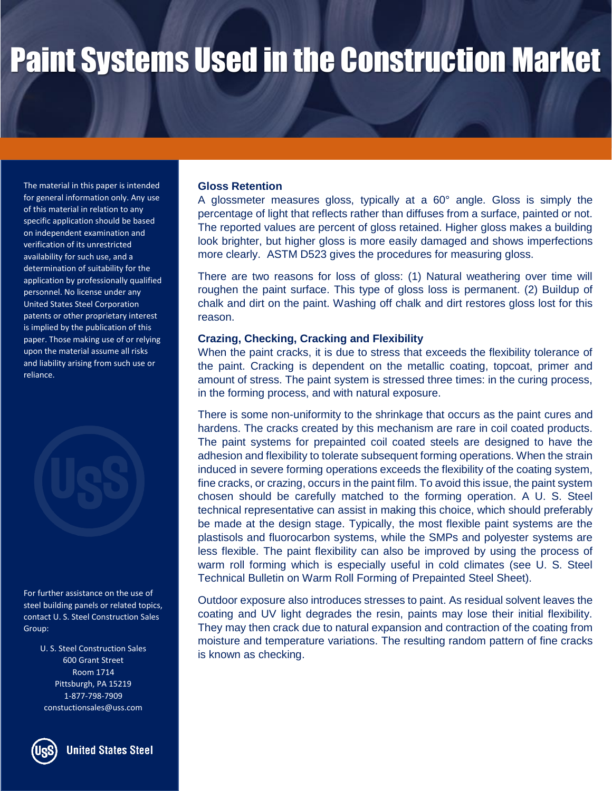The material in this paper is intended for general information only. Any use of this material in relation to any specific application should be based on independent examination and verification of its unrestricted availability for such use, and a determination of suitability for the application by professionally qualified personnel. No license under any United States Steel Corporation patents or other proprietary interest is implied by the publication of this paper. Those making use of or relying upon the material assume all risks and liability arising from such use or reliance.



For further assistance on the use of steel building panels or related topics, contact U. S. Steel Construction Sales Group:

> U. S. Steel Construction Sales 600 Grant Street Room 1714 Pittsburgh, PA 15219 1-877-798-7909 constuctionsales@uss.com



**United States Steel** 

#### **Gloss Retention**

A glossmeter measures gloss, typically at a 60° angle. Gloss is simply the percentage of light that reflects rather than diffuses from a surface, painted or not. The reported values are percent of gloss retained. Higher gloss makes a building look brighter, but higher gloss is more easily damaged and shows imperfections more clearly. ASTM D523 gives the procedures for measuring gloss.

There are two reasons for loss of gloss: (1) Natural weathering over time will roughen the paint surface. This type of gloss loss is permanent. (2) Buildup of chalk and dirt on the paint. Washing off chalk and dirt restores gloss lost for this reason.

#### **Crazing, Checking, Cracking and Flexibility**

When the paint cracks, it is due to stress that exceeds the flexibility tolerance of the paint. Cracking is dependent on the metallic coating, topcoat, primer and amount of stress. The paint system is stressed three times: in the curing process, in the forming process, and with natural exposure.

There is some non-uniformity to the shrinkage that occurs as the paint cures and hardens. The cracks created by this mechanism are rare in coil coated products. The paint systems for prepainted coil coated steels are designed to have the adhesion and flexibility to tolerate subsequent forming operations. When the strain induced in severe forming operations exceeds the flexibility of the coating system, fine cracks, or crazing, occurs in the paint film. To avoid this issue, the paint system chosen should be carefully matched to the forming operation. A U. S. Steel technical representative can assist in making this choice, which should preferably be made at the design stage. Typically, the most flexible paint systems are the plastisols and fluorocarbon systems, while the SMPs and polyester systems are less flexible. The paint flexibility can also be improved by using the process of warm roll forming which is especially useful in cold climates (see U. S. Steel Technical Bulletin on Warm Roll Forming of Prepainted Steel Sheet).

Outdoor exposure also introduces stresses to paint. As residual solvent leaves the coating and UV light degrades the resin, paints may lose their initial flexibility. They may then crack due to natural expansion and contraction of the coating from moisture and temperature variations. The resulting random pattern of fine cracks is known as checking.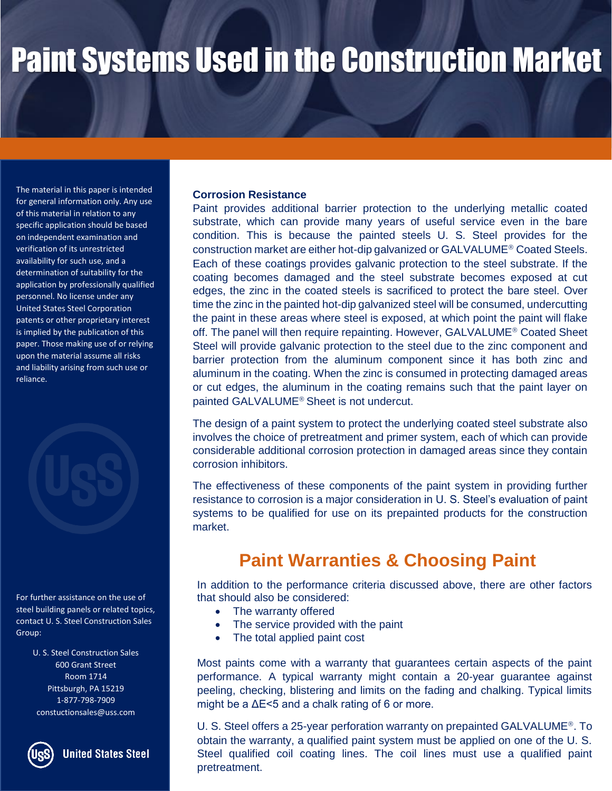The material in this paper is intended for general information only. Any use of this material in relation to any specific application should be based on independent examination and verification of its unrestricted availability for such use, and a determination of suitability for the application by professionally qualified personnel. No license under any United States Steel Corporation patents or other proprietary interest is implied by the publication of this paper. Those making use of or relying upon the material assume all risks and liability arising from such use or reliance.



For further assistance on the use of steel building panels or related topics, contact U. S. Steel Construction Sales Group:

> U. S. Steel Construction Sales 600 Grant Street Room 1714 Pittsburgh, PA 15219 1-877-798-7909 constuctionsales@uss.com



**United States Steel** 

#### **Corrosion Resistance**

Paint provides additional barrier protection to the underlying metallic coated substrate, which can provide many years of useful service even in the bare condition. This is because the painted steels U. S. Steel provides for the construction market are either hot-dip galvanized or GALVALUME<sup>®</sup> Coated Steels. Each of these coatings provides galvanic protection to the steel substrate. If the coating becomes damaged and the steel substrate becomes exposed at cut edges, the zinc in the coated steels is sacrificed to protect the bare steel. Over time the zinc in the painted hot-dip galvanized steel will be consumed, undercutting the paint in these areas where steel is exposed, at which point the paint will flake off. The panel will then require repainting. However, GALVALUME<sup>®</sup> Coated Sheet Steel will provide galvanic protection to the steel due to the zinc component and barrier protection from the aluminum component since it has both zinc and aluminum in the coating. When the zinc is consumed in protecting damaged areas or cut edges, the aluminum in the coating remains such that the paint layer on painted GALVALUME<sup>®</sup> Sheet is not undercut.

The design of a paint system to protect the underlying coated steel substrate also involves the choice of pretreatment and primer system, each of which can provide considerable additional corrosion protection in damaged areas since they contain corrosion inhibitors.

The effectiveness of these components of the paint system in providing further resistance to corrosion is a major consideration in U. S. Steel's evaluation of paint systems to be qualified for use on its prepainted products for the construction market.

### **Paint Warranties & Choosing Paint**

In addition to the performance criteria discussed above, there are other factors that should also be considered:

- The warranty offered
- The service provided with the paint
- The total applied paint cost

Most paints come with a warranty that guarantees certain aspects of the paint performance. A typical warranty might contain a 20-year guarantee against peeling, checking, blistering and limits on the fading and chalking. Typical limits might be a  $\Delta E$  < 5 and a chalk rating of 6 or more.

U. S. Steel offers a 25-year perforation warranty on prepainted GALVALUME<sup>®</sup>. To obtain the warranty, a qualified paint system must be applied on one of the U. S. Steel qualified coil coating lines. The coil lines must use a qualified paint pretreatment.